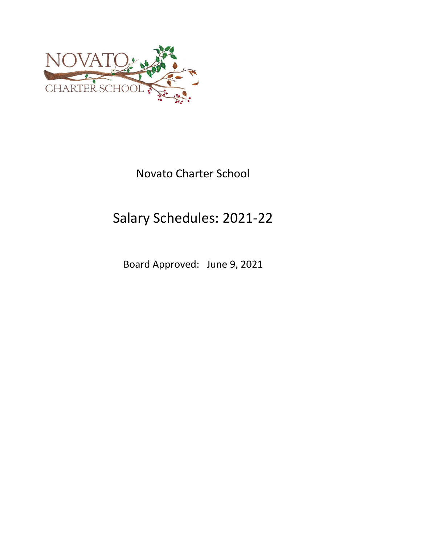

# Novato Charter School

# Salary Schedules: 2021‐22

Board Approved: June 9, 2021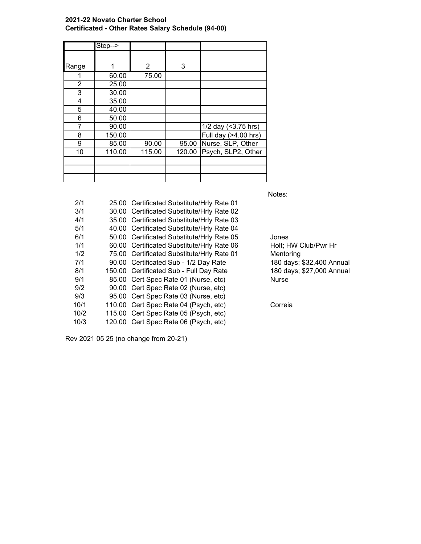# **2021-22 Novato Charter School Certificated - Other Rates Salary Schedule (94-00)**

|       | Step--> |        |        |                      |
|-------|---------|--------|--------|----------------------|
| Range |         | 2      | 3      |                      |
|       | 60.00   | 75.00  |        |                      |
| 2     | 25.00   |        |        |                      |
| 3     | 30.00   |        |        |                      |
| 4     | 35.00   |        |        |                      |
| 5     | 40.00   |        |        |                      |
| 6     | 50.00   |        |        |                      |
| 7     | 90.00   |        |        | 1/2 day (<3.75 hrs)  |
| 8     | 150.00  |        |        | Full day (>4.00 hrs) |
| 9     | 85.00   | 90.00  | 95.00  | Nurse, SLP, Other    |
| 10    | 110.00  | 115.00 | 120.00 | Psych, SLP2, Other   |
|       |         |        |        |                      |
|       |         |        |        |                      |
|       |         |        |        |                      |

Notes:

| 2/1  | 25.00 Certificated Substitute/Hrly Rate 01 |           |
|------|--------------------------------------------|-----------|
| 3/1  | 30.00 Certificated Substitute/Hrly Rate 02 |           |
| 4/1  | 35.00 Certificated Substitute/Hrly Rate 03 |           |
| 5/1  | 40.00 Certificated Substitute/Hrly Rate 04 |           |
| 6/1  | 50.00 Certificated Substitute/Hrly Rate 05 | Jones     |
| 1/1  | 60.00 Certificated Substitute/Hrly Rate 06 | Holt; H   |
| 1/2  | 75.00 Certificated Substitute/Hrly Rate 01 | Mentori   |
| 7/1  | 90.00 Certificated Sub - 1/2 Day Rate      | 180 day   |
| 8/1  | 150.00 Certificated Sub - Full Day Rate    | $180$ day |
| 9/1  | 85.00 Cert Spec Rate 01 (Nurse, etc)       | Nurse     |
| 9/2  | 90.00 Cert Spec Rate 02 (Nurse, etc)       |           |
| 9/3  | 95.00 Cert Spec Rate 03 (Nurse, etc)       |           |
| 10/1 | 110.00 Cert Spec Rate 04 (Psych, etc)      | Correia   |
| 10/2 | 115.00 Cert Spec Rate 05 (Psych, etc)      |           |
| 10/3 | 120.00 Cert Spec Rate 06 (Psych, etc)      |           |

Rev 2021 05 25 (no change from 20-21)

6 Holt; HW Club/Pwr Hr Mentoring 180 days; \$32,400 Annual 180 days; \$27,000 Annual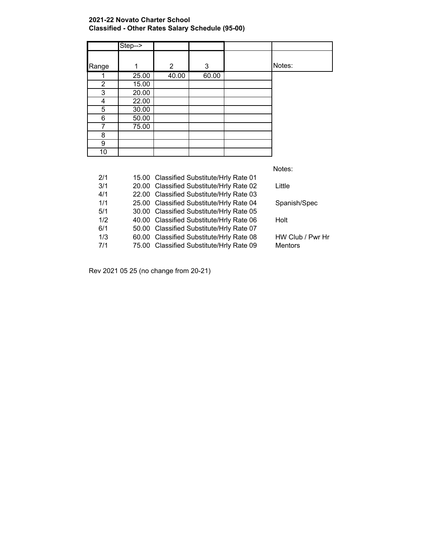# **2021-22 Novato Charter School Classified - Other Rates Salary Schedule (95-00)**

|                | Step--> |                |       |        |
|----------------|---------|----------------|-------|--------|
|                |         |                |       |        |
| Range          | 1       | $\overline{2}$ | 3     | Notes: |
|                | 25.00   | 40.00          | 60.00 |        |
| $\overline{2}$ | 15.00   |                |       |        |
| 3              | 20.00   |                |       |        |
| 4              | 22.00   |                |       |        |
| 5              | 30.00   |                |       |        |
| 6              | 50.00   |                |       |        |
| 7              | 75.00   |                |       |        |
| 8              |         |                |       |        |
| 9              |         |                |       |        |
| 10             |         |                |       |        |

Notes:

| 2/1 | 15.00 Classified Substitute/Hrly Rate 01 |                  |
|-----|------------------------------------------|------------------|
| 3/1 | 20.00 Classified Substitute/Hrly Rate 02 | Little           |
| 4/1 | 22.00 Classified Substitute/Hrly Rate 03 |                  |
| 1/1 | 25.00 Classified Substitute/Hrly Rate 04 | Spanish/Spec     |
| 5/1 | 30.00 Classified Substitute/Hrly Rate 05 |                  |
| 1/2 | 40.00 Classified Substitute/Hrly Rate 06 | Holt             |
| 6/1 | 50.00 Classified Substitute/Hrly Rate 07 |                  |
| 1/3 | 60.00 Classified Substitute/Hrly Rate 08 | HW Club / Pwr Hr |
| 7/1 | 75.00 Classified Substitute/Hrly Rate 09 | <b>Mentors</b>   |

Rev 2021 05 25 (no change from 20-21)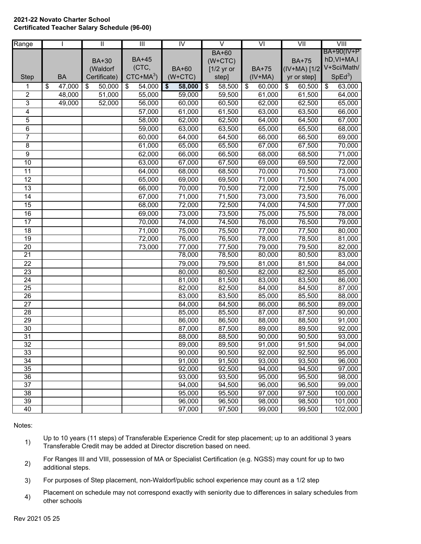#### **2021-22 Novato Charter School Certificated Teacher Salary Schedule (96-00)**

| Range                 |              | $\overline{\mathbb{I}}$ | $\overline{\mathbb{H}}$ | $\overline{N}$   |                 | $\vee$           | $\overline{\mathsf{V}}$ |                  |    | $\overline{\overline{\text{V}}\text{III}}$ |
|-----------------------|--------------|-------------------------|-------------------------|------------------|-----------------|------------------|-------------------------|------------------|----|--------------------------------------------|
|                       |              |                         |                         |                  |                 | <b>BA+60</b>     |                         |                  |    | BA+90(IV+P                                 |
|                       |              | <b>BA+30</b>            | <b>BA+45</b>            |                  |                 | $(W+CTC)$        |                         | <b>BA+75</b>     |    | hD, VI+MA, I                               |
|                       |              | (Waldorf                | (CTC,                   | <b>BA+60</b>     |                 | $[1/2$ yr or     | <b>BA+75</b>            | $(IV+MA)$ [1/2   |    | V+Sci/Math/                                |
| <b>Step</b>           | <b>BA</b>    | Certificate)            | $CTC+MA^3$              | $(W+CTC)$        |                 | step]            | $(IV+MA)$               | yr or step]      |    | $SpEd3$ )                                  |
| 1                     | \$<br>47,000 | \$<br>50,000            | \$<br>54,000            | \$<br>58,000     | $\overline{\$}$ | 58,500           | \$<br>60,000            | \$<br>60,500     | \$ | 63,000                                     |
| $\overline{c}$        | 48,000       | 51,000                  | 55,000                  | 59,000           |                 | 59,500           | 61,000                  | 61,500           |    | 64,000                                     |
| 3                     | 49,000       | 52,000                  | 56,000                  | 60,000           |                 | 60,500           | 62,000                  | 62,500           |    | 65,000                                     |
| 4                     |              |                         | 57,000                  | 61,000           |                 | 61,500           | 63,000                  | 63,500           |    | 66,000                                     |
| 5                     |              |                         | 58,000                  | 62,000           |                 | 62,500           | 64,000                  | 64,500           |    | 67,000                                     |
| 6                     |              |                         | 59,000                  | 63,000           |                 | 63,500           | 65,000                  | 65,500           |    | 68,000                                     |
| 7                     |              |                         | 60,000                  | 64,000           |                 | 64,500           | 66,000                  | 66,500           |    | 69,000                                     |
| $\overline{8}$        |              |                         | 61,000                  | 65,000           |                 | 65,500           | 67,000                  | 67,500           |    | 70,000                                     |
| $\overline{9}$        |              |                         | 62,000                  | 66,000           |                 | 66,500           | 68,000                  | 68,500           |    | 71,000                                     |
| 10                    |              |                         | 63,000                  | 67,000           |                 | 67,500           | 69,000                  | 69,500           |    | 72,000                                     |
| $\overline{11}$       |              |                         | 64,000                  | 68,000           |                 | 68,500           | 70,000                  | 70,500           |    | 73,000                                     |
| $\overline{12}$       |              |                         | 65,000                  | 69,000           |                 | 69,500           | 71,000                  | 71,500           |    | 74,000                                     |
| $\overline{13}$       |              |                         | 66,000                  | 70,000           |                 | 70,500           | 72,000                  | 72,500           |    | 75,000                                     |
| $\overline{14}$       |              |                         | 67,000                  | 71,000           |                 | 71,500           | 73,000                  | 73,500           |    | 76,000                                     |
| $\overline{15}$       |              |                         | 68,000                  | 72,000           |                 | 72,500           | 74,000                  | 74,500           |    | 77,000                                     |
| $\overline{16}$       |              |                         | 69,000                  | 73,000           |                 | 73,500           | 75,000                  | 75,500           |    | 78,000                                     |
| 17                    |              |                         | 70,000                  | 74,000           |                 | 74,500           | 76,000                  | 76,500           |    | 79,000                                     |
| 18                    |              |                         | 71,000                  | 75,000           |                 | 75,500           | 77,000                  | 77,500           |    | 80,000                                     |
| $\overline{19}$       |              |                         | 72,000                  | 76,000           |                 | 76,500           | 78,000                  | 78,500           |    | 81,000                                     |
| 20                    |              |                         | 73,000                  | 77,000           |                 | 77,500           | 79,000                  | 79,500           |    | 82,000                                     |
| $\overline{21}$       |              |                         |                         | 78,000           |                 | 78,500           | 80,000                  | 80,500           |    | 83,000                                     |
| 22                    |              |                         |                         | 79,000           |                 | 79,500           | 81,000                  | 81,500           |    | 84,000                                     |
| $\overline{23}$       |              |                         |                         | 80,000           |                 | 80,500           | 82,000                  | 82,500           |    | 85,000                                     |
| $\overline{24}$       |              |                         |                         | 81,000           |                 | 81,500           | 83,000                  | 83,500           |    | 86,000                                     |
| 25                    |              |                         |                         | 82,000           |                 | 82,500           | 84,000                  | 84,500           |    | 87,000                                     |
| 26                    |              |                         |                         | 83,000           |                 | 83,500           | 85,000                  | 85,500           |    | 88,000                                     |
| 27                    |              |                         |                         | 84,000           |                 | 84,500           | 86,000                  | 86,500           |    | 89,000                                     |
| 28                    |              |                         |                         | 85,000           |                 | 85,500           | 87,000                  | 87,500           |    | 90,000                                     |
| 29                    |              |                         |                         | 86,000           |                 | 86,500           | 88,000                  | 88,500           |    | 91,000                                     |
| $\overline{30}$       |              |                         |                         | 87,000           |                 | 87,500           | 89,000                  | 89,500           |    | 92,000                                     |
| $\overline{31}$<br>32 |              |                         |                         | 88,000<br>89,000 |                 | 88,500<br>89,500 | 90,000<br>91,000        | 90,500<br>91,500 |    | 93,000                                     |
| 33                    |              |                         |                         | 90,000           |                 | 90,500           | 92,000                  | 92,500           |    | 94,000<br>95,000                           |
| 34                    |              |                         |                         | 91,000           |                 | 91,500           | 93,000                  | 93,500           |    | 96,000                                     |
| 35                    |              |                         |                         | 92,000           |                 | 92,500           | 94,000                  | 94,500           |    | 97,000                                     |
| 36                    |              |                         |                         | 93,000           |                 | 93,500           | 95,000                  | 95,500           |    | 98,000                                     |
| 37                    |              |                         |                         | 94,000           |                 | 94,500           | 96,000                  | 96,500           |    | 99,000                                     |
| 38                    |              |                         |                         | 95,000           |                 | 95,500           | 97,000                  | 97,500           |    | 100,000                                    |
| 39                    |              |                         |                         | 96,000           |                 | 96,500           | 98,000                  | 98,500           |    | 101,000                                    |
| 40                    |              |                         |                         | 97,000           |                 | 97,500           | 99,000                  | 99,500           |    | 102,000                                    |

Notes:

- 1) Up to 10 years (11 steps) of Transferable Experience Credit for step placement; up to an additional 3 years Transferable Credit may be added at Director discretion based on need.
- 2) For Ranges III and VIII, possession of MA or Specialist Certification (e.g. NGSS) may count for up to two additional steps.
- 3) For purposes of Step placement, non-Waldorf/public school experience may count as a 1/2 step
- 4) Placement on schedule may not correspond exactly with seniority due to differences in salary schedules from other schools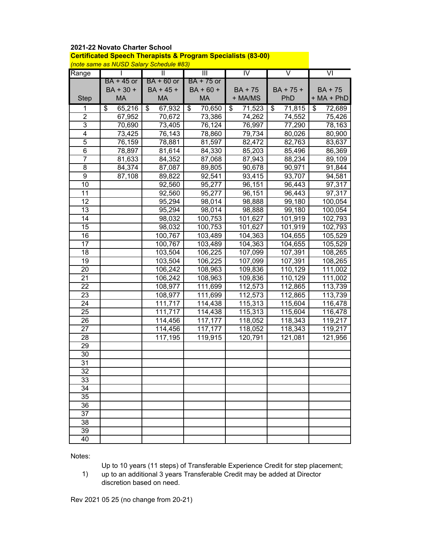### **2021-22 Novato Charter School**

**Certificated Speech Therapists & Program Specialists (83-00)**

*(note same as NUSD Salary Schedule #83)*

| Range           | proto same as no board y conculato moo,<br>Τ | π            | $\overline{\mathbb{H}}$ | IV           | $\overline{\mathsf{V}}$   | $\overline{\mathsf{v}}$ |
|-----------------|----------------------------------------------|--------------|-------------------------|--------------|---------------------------|-------------------------|
|                 | BA + 45 or                                   | $BA + 60$ or | $BA + 75$ or            |              |                           |                         |
|                 | BA + 30 +                                    | $BA + 45 +$  | $BA + 60 +$             | BA + 75      | BA + 75 +                 | $BA + 75$               |
| <b>Step</b>     | MA                                           | MA           | MA                      | + MA/MS      | PhD                       | $+ MA + PhD$            |
| 1               | \$<br>65,216                                 | 67,932<br>\$ | \$<br>70,650            | 71,523<br>\$ | \$<br>$\overline{7}1,815$ | \$<br>72,689            |
| $\overline{2}$  | 67,952                                       | 70,672       | 73,386                  | 74,262       | 74,552                    | 75,426                  |
| $\overline{3}$  | 70,690                                       | 73,405       | 76,124                  | 76,997       | 77,290                    | 78,163                  |
| 4               | 73,425                                       | 76,143       | 78,860                  | 79,734       | 80,026                    | 80,900                  |
| $\mathbf 5$     | 76,159                                       | 78,881       | 81,597                  | 82,472       | 82,763                    | 83,637                  |
| $6\phantom{1}6$ | 78,897                                       | 81,614       | 84,330                  | 85,203       | 85,496                    | 86,369                  |
| $\overline{7}$  | 81,633                                       | 84,352       | 87,068                  | 87,943       | 88,234                    | 89,109                  |
| 8               | 84,374                                       | 87,087       | 89,805                  | 90,678       | 90,971                    | 91,844                  |
| 9               | 87,108                                       | 89,822       | 92,541                  | 93,415       | 93,707                    | 94,581                  |
| 10              |                                              | 92,560       | 95,277                  | 96,151       | 96,443                    | 97,317                  |
| 11              |                                              | 92,560       | 95,277                  | 96,151       | 96,443                    | 97,317                  |
| 12              |                                              | 95,294       | 98,014                  | 98,888       | 99,180                    | 100,054                 |
| 13              |                                              | 95,294       | 98,014                  | 98,888       | 99,180                    | 100,054                 |
| 14              |                                              | 98,032       | 100,753                 | 101,627      | 101,919                   | 102,793                 |
| 15              |                                              | 98,032       | 100,753                 | 101,627      | 101,919                   | 102,793                 |
| 16              |                                              | 100,767      | 103,489                 | 104,363      | 104,655                   | 105,529                 |
| 17              |                                              | 100,767      | 103,489                 | 104,363      | 104,655                   | 105,529                 |
| 18              |                                              | 103,504      | $\overline{10}6,225$    | 107,099      | 107,391                   | 108,265                 |
| 19              |                                              | 103,504      | 106,225                 | 107,099      | 107,391                   | 108,265                 |
| 20              |                                              | 106,242      | 108,963                 | 109,836      | 110,129                   | 111,002                 |
| 21              |                                              | 106,242      | 108,963                 | 109,836      | 110,129                   | 111,002                 |
| 22              |                                              | 108,977      | 111,699                 | 112,573      | 112,865                   | 113,739                 |
| 23              |                                              | 108,977      | 111,699                 | 112,573      | 112,865                   | 113,739                 |
| 24              |                                              | 111,717      | 114,438                 | 115,313      | 115,604                   | 116,478                 |
| $\overline{25}$ |                                              | 111,717      | 114,438                 | 115,313      | 115,604                   | 116,478                 |
| 26              |                                              | 114,456      | 117,177                 | 118,052      | 118,343                   | 119,217                 |
| 27              |                                              | 114,456      | 117,177                 | 118,052      | 118,343                   | 119,217                 |
| 28              |                                              | 117,195      | 119,915                 | 120,791      | 121,081                   | 121,956                 |
| 29              |                                              |              |                         |              |                           |                         |
| 30              |                                              |              |                         |              |                           |                         |
| 31              |                                              |              |                         |              |                           |                         |
| 32              |                                              |              |                         |              |                           |                         |
| 33              |                                              |              |                         |              |                           |                         |
| 34              |                                              |              |                         |              |                           |                         |
| 35              |                                              |              |                         |              |                           |                         |
| 36              |                                              |              |                         |              |                           |                         |
| 37              |                                              |              |                         |              |                           |                         |
| 38              |                                              |              |                         |              |                           |                         |
| 39              |                                              |              |                         |              |                           |                         |
| 40              |                                              |              |                         |              |                           |                         |

Notes:

Up to 10 years (11 steps) of Transferable Experience Credit for step placement;

1) up to an additional 3 years Transferable Credit may be added at Director discretion based on need.

Rev 2021 05 25 (no change from 20-21)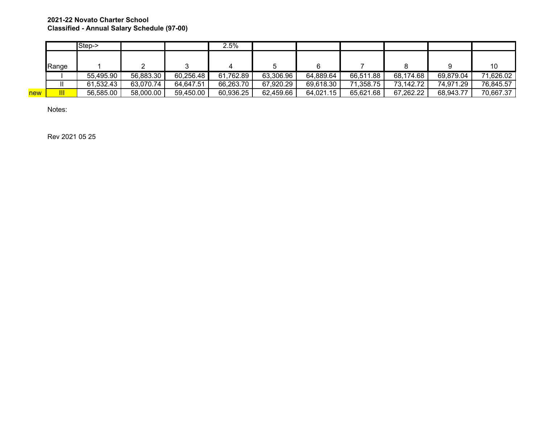# **2021-22 Novato Charter School Classified - Annual Salary Schedule (97-00)**

|     |       | Step->    |           |           | 2.5%      |           |           |           |           |           |           |
|-----|-------|-----------|-----------|-----------|-----------|-----------|-----------|-----------|-----------|-----------|-----------|
|     |       |           |           |           |           |           |           |           |           |           |           |
|     | Range |           |           |           |           |           | 6         |           |           |           | 10        |
|     |       | 55,495.90 | 56,883.30 | 60,256.48 | 61,762.89 | 63,306.96 | 64,889.64 | 66,511.88 | 68,174.68 | 69,879.04 | 71,626.02 |
|     |       | 61,532.43 | 63,070.74 | 64,647.51 | 66,263.70 | 67,920.29 | 69,618.30 | 71,358.75 | 73,142.72 | 74,971.29 | 76,845.57 |
| new | Ш     | 56,585.00 | 58,000.00 | 59,450.00 | 60,936.25 | 62,459.66 | 64,021.15 | 65,621.68 | 67,262.22 | 68,943.77 | 70,667.37 |

Notes:

Rev 2021 05 25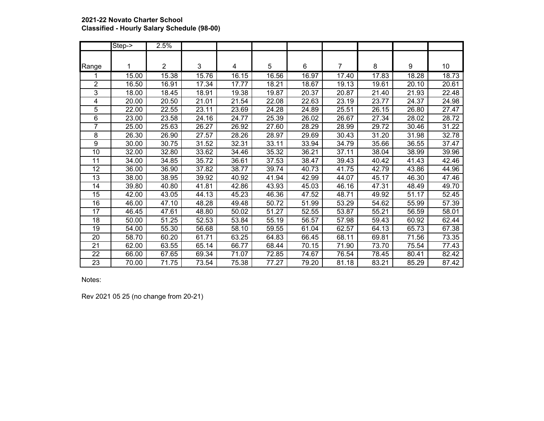# **2021-22 Novato Charter School Classified - Hourly Salary Schedule (98-00)**

|                 | Step->             | 2.5%           |       |       |       |       |       |       |       |       |
|-----------------|--------------------|----------------|-------|-------|-------|-------|-------|-------|-------|-------|
|                 |                    |                |       |       |       |       |       |       |       |       |
| Range           |                    | $\overline{2}$ | 3     | 4     | 5     | 6     | 7     | 8     | 9     | 10    |
|                 | 15.00              | 15.38          | 15.76 | 16.15 | 16.56 | 16.97 | 17.40 | 17.83 | 18.28 | 18.73 |
| 2               | 16.50              | 16.91          | 17.34 | 17.77 | 18.21 | 18.67 | 19.13 | 19.61 | 20.10 | 20.61 |
| 3               | 18.00              | 18.45          | 18.91 | 19.38 | 19.87 | 20.37 | 20.87 | 21.40 | 21.93 | 22.48 |
| 4               | 20.00              | 20.50          | 21.01 | 21.54 | 22.08 | 22.63 | 23.19 | 23.77 | 24.37 | 24.98 |
| 5               | 22.00              | 22.55          | 23.11 | 23.69 | 24.28 | 24.89 | 25.51 | 26.15 | 26.80 | 27.47 |
| 6               | 23.00              | 23.58          | 24.16 | 24.77 | 25.39 | 26.02 | 26.67 | 27.34 | 28.02 | 28.72 |
| 7               | 25.00              | 25.63          | 26.27 | 26.92 | 27.60 | 28.29 | 28.99 | 29.72 | 30.46 | 31.22 |
| 8               | 26.30              | 26.90          | 27.57 | 28.26 | 28.97 | 29.69 | 30.43 | 31.20 | 31.98 | 32.78 |
| 9               | 30.00              | 30.75          | 31.52 | 32.31 | 33.11 | 33.94 | 34.79 | 35.66 | 36.55 | 37.47 |
| 10              | 32.00              | 32.80          | 33.62 | 34.46 | 35.32 | 36.21 | 37.11 | 38.04 | 38.99 | 39.96 |
| 11              | 34.00              | 34.85          | 35.72 | 36.61 | 37.53 | 38.47 | 39.43 | 40.42 | 41.43 | 42.46 |
| 12              | 36.00              | 36.90          | 37.82 | 38.77 | 39.74 | 40.73 | 41.75 | 42.79 | 43.86 | 44.96 |
| 13              | 38.00              | 38.95          | 39.92 | 40.92 | 41.94 | 42.99 | 44.07 | 45.17 | 46.30 | 47.46 |
| 14              | 39.80              | 40.80          | 41.81 | 42.86 | 43.93 | 45.03 | 46.16 | 47.31 | 48.49 | 49.70 |
| $\overline{15}$ | $\overline{42.00}$ | 43.05          | 44.13 | 45.23 | 46.36 | 47.52 | 48.71 | 49.92 | 51.17 | 52.45 |
| 16              | 46.00              | 47.10          | 48.28 | 49.48 | 50.72 | 51.99 | 53.29 | 54.62 | 55.99 | 57.39 |
| 17              | 46.45              | 47.61          | 48.80 | 50.02 | 51.27 | 52.55 | 53.87 | 55.21 | 56.59 | 58.01 |
| 18              | 50.00              | 51.25          | 52.53 | 53.84 | 55.19 | 56.57 | 57.98 | 59.43 | 60.92 | 62.44 |
| $\overline{19}$ | 54.00              | 55.30          | 56.68 | 58.10 | 59.55 | 61.04 | 62.57 | 64.13 | 65.73 | 67.38 |
| 20              | 58.70              | 60.20          | 61.71 | 63.25 | 64.83 | 66.45 | 68.11 | 69.81 | 71.56 | 73.35 |
| 21              | 62.00              | 63.55          | 65.14 | 66.77 | 68.44 | 70.15 | 71.90 | 73.70 | 75.54 | 77.43 |
| 22              | 66.00              | 67.65          | 69.34 | 71.07 | 72.85 | 74.67 | 76.54 | 78.45 | 80.41 | 82.42 |
| 23              | 70.00              | 71.75          | 73.54 | 75.38 | 77.27 | 79.20 | 81.18 | 83.21 | 85.29 | 87.42 |

Notes:

Rev 2021 05 25 (no change from 20-21)